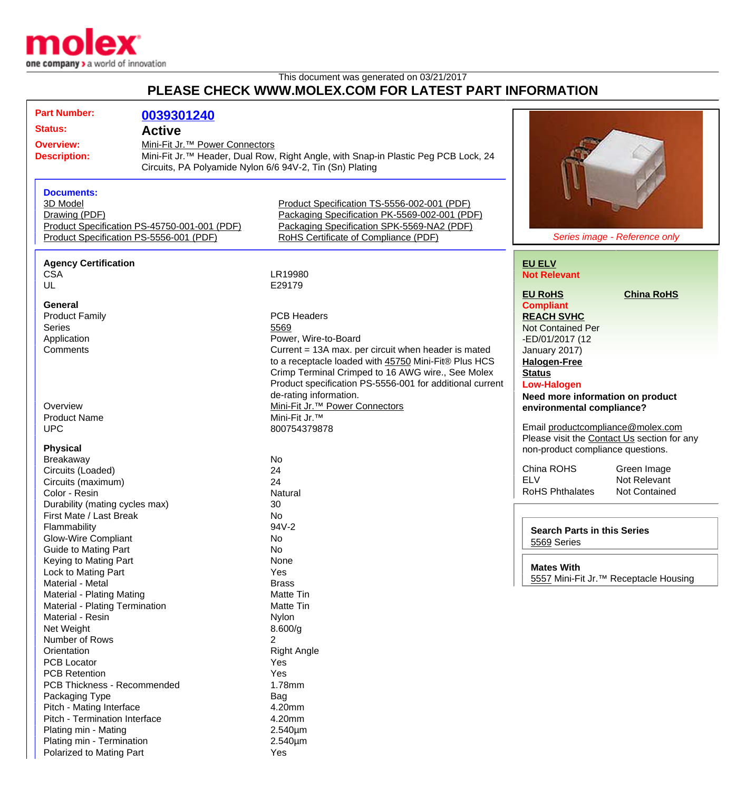

## This document was generated on 03/21/2017 **PLEASE CHECK WWW.MOLEX.COM FOR LATEST PART INFORMATION**

| <b>Part Number:</b>                          | 0039301240                                               |                                                                                                |                                    |                                                   |
|----------------------------------------------|----------------------------------------------------------|------------------------------------------------------------------------------------------------|------------------------------------|---------------------------------------------------|
| <b>Status:</b>                               | <b>Active</b>                                            |                                                                                                |                                    |                                                   |
|                                              |                                                          |                                                                                                |                                    |                                                   |
| <b>Overview:</b>                             | Mini-Fit Jr. <sup>™</sup> Power Connectors               |                                                                                                |                                    |                                                   |
| <b>Description:</b>                          |                                                          | Mini-Fit Jr. <sup>™</sup> Header, Dual Row, Right Angle, with Snap-in Plastic Peg PCB Lock, 24 |                                    |                                                   |
|                                              | Circuits, PA Polyamide Nylon 6/6 94V-2, Tin (Sn) Plating |                                                                                                |                                    |                                                   |
|                                              |                                                          |                                                                                                |                                    |                                                   |
| <b>Documents:</b><br>3D Model                |                                                          | Product Specification TS-5556-002-001 (PDF)                                                    |                                    |                                                   |
| Drawing (PDF)                                |                                                          | Packaging Specification PK-5569-002-001 (PDF)                                                  |                                    |                                                   |
| Product Specification PS-45750-001-001 (PDF) |                                                          | Packaging Specification SPK-5569-NA2 (PDF)                                                     |                                    |                                                   |
| Product Specification PS-5556-001 (PDF)      |                                                          | RoHS Certificate of Compliance (PDF)                                                           |                                    | Series image - Reference only                     |
|                                              |                                                          |                                                                                                |                                    |                                                   |
| <b>Agency Certification</b>                  |                                                          |                                                                                                | <b>EU ELV</b>                      |                                                   |
| <b>CSA</b>                                   |                                                          | LR19980                                                                                        | <b>Not Relevant</b>                |                                                   |
| UL                                           |                                                          | E29179                                                                                         |                                    |                                                   |
|                                              |                                                          |                                                                                                | <b>EU RoHS</b>                     | <b>China RoHS</b>                                 |
| <b>General</b>                               |                                                          |                                                                                                | <b>Compliant</b>                   |                                                   |
| <b>Product Family</b>                        |                                                          | <b>PCB Headers</b>                                                                             | <b>REACH SVHC</b>                  |                                                   |
| <b>Series</b>                                |                                                          | 5569                                                                                           | <b>Not Contained Per</b>           |                                                   |
| Application                                  |                                                          | Power, Wire-to-Board                                                                           | -ED/01/2017 (12                    |                                                   |
| Comments                                     |                                                          | Current = 13A max. per circuit when header is mated                                            | January 2017)                      |                                                   |
|                                              |                                                          | to a receptacle loaded with 45750 Mini-Fit® Plus HCS                                           | <b>Halogen-Free</b>                |                                                   |
|                                              |                                                          | Crimp Terminal Crimped to 16 AWG wire., See Molex                                              | <b>Status</b>                      |                                                   |
|                                              |                                                          | Product specification PS-5556-001 for additional current                                       | <b>Low-Halogen</b>                 |                                                   |
|                                              |                                                          | de-rating information.                                                                         | Need more information on product   |                                                   |
| Overview                                     |                                                          | Mini-Fit Jr. <sup>™</sup> Power Connectors                                                     | environmental compliance?          |                                                   |
| <b>Product Name</b>                          |                                                          | Mini-Fit Jr. <sup>™</sup>                                                                      |                                    |                                                   |
| <b>UPC</b>                                   |                                                          | 800754379878                                                                                   | Email productcompliance@molex.com  |                                                   |
|                                              |                                                          |                                                                                                |                                    | Please visit the Contact Us section for any       |
| <b>Physical</b><br>Breakaway                 |                                                          | No                                                                                             | non-product compliance questions.  |                                                   |
| Circuits (Loaded)                            |                                                          | 24                                                                                             | China ROHS                         | Green Image                                       |
| Circuits (maximum)                           |                                                          | 24                                                                                             | <b>ELV</b>                         | Not Relevant                                      |
| Color - Resin                                |                                                          | Natural                                                                                        | <b>RoHS Phthalates</b>             | Not Contained                                     |
| Durability (mating cycles max)               |                                                          | 30                                                                                             |                                    |                                                   |
| First Mate / Last Break                      |                                                          | No                                                                                             |                                    |                                                   |
| Flammability                                 |                                                          | 94V-2                                                                                          |                                    |                                                   |
| <b>Glow-Wire Compliant</b>                   |                                                          | No                                                                                             | <b>Search Parts in this Series</b> |                                                   |
| Guide to Mating Part                         |                                                          | No                                                                                             | 5569 Series                        |                                                   |
| Keying to Mating Part                        |                                                          | None                                                                                           |                                    |                                                   |
| Lock to Mating Part                          |                                                          | Yes                                                                                            | <b>Mates With</b>                  |                                                   |
| Material - Metal                             |                                                          | <b>Brass</b>                                                                                   |                                    | 5557 Mini-Fit Jr. <sup>™</sup> Receptacle Housing |
| <b>Material - Plating Mating</b>             |                                                          | <b>Matte Tin</b>                                                                               |                                    |                                                   |
| Material - Plating Termination               |                                                          | <b>Matte Tin</b>                                                                               |                                    |                                                   |
| Material - Resin                             |                                                          | Nylon                                                                                          |                                    |                                                   |
| Net Weight                                   |                                                          | 8.600/g                                                                                        |                                    |                                                   |
| Number of Rows                               |                                                          | 2                                                                                              |                                    |                                                   |
| Orientation                                  |                                                          | <b>Right Angle</b>                                                                             |                                    |                                                   |
| <b>PCB Locator</b>                           |                                                          | Yes                                                                                            |                                    |                                                   |
| <b>PCB Retention</b>                         |                                                          | Yes                                                                                            |                                    |                                                   |
| <b>PCB Thickness - Recommended</b>           |                                                          | 1.78mm                                                                                         |                                    |                                                   |
| Packaging Type                               |                                                          | Bag                                                                                            |                                    |                                                   |
| Pitch - Mating Interface                     |                                                          | 4.20mm                                                                                         |                                    |                                                   |
| Pitch - Termination Interface                |                                                          | 4.20mm                                                                                         |                                    |                                                   |
| Plating min - Mating                         |                                                          | 2.540µm                                                                                        |                                    |                                                   |
| Plating min - Termination                    |                                                          | 2.540µm                                                                                        |                                    |                                                   |
| Polarized to Mating Part                     |                                                          | Yes                                                                                            |                                    |                                                   |